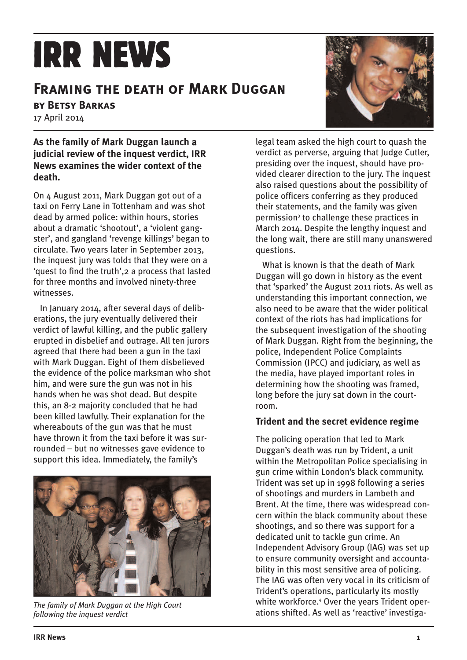# **IRR NEWS**

## **Framing the death of Mark Duggan**

**by Betsy Barkas**

17 April 2014

## **As the family of Mark Duggan launch a judicial review of the inquest verdict, IRR News examines the wider context of the death.**

On 4 August 2011, Mark Duggan got out of a taxi on Ferry Lane in Tottenham and was shot dead by armed police: within hours, stories about a dramatic 'shootout', a 'violent gangster', and gangland 'revenge killings' began to circulate. Two years later in September 2013, the inquest jury was told1 that they were on a 'quest to find the truth',2 a process that lasted for three months and involved ninety-three witnesses.

In January 2014, after several days of deliberations, the jury eventually delivered their verdict of lawful killing, and the public gallery erupted in disbelief and outrage. All ten jurors agreed that there had been a gun in the taxi with Mark Duggan. Eight of them disbelieved the evidence of the police marksman who shot him, and were sure the gun was not in his hands when he was shot dead. But despite this, an 8-2 majority concluded that he had been killed lawfully. Their explanation for the whereabouts of the gun was that he must have thrown it from the taxi before it was surrounded – but no witnesses gave evidence to support this idea. Immediately, the family's



*The family of Mark Duggan at the High Court following the inquest verdict*



legal team asked the high court to quash the verdict as perverse, arguing that Judge Cutler, presiding over the inquest, should have provided clearer direction to the jury. The inquest also raised questions about the possibility of police officers conferring as they produced their statements, and the family was given permission<sup>3</sup> to challenge these practices in March 2014. Despite the lengthy inquest and the long wait, there are still many unanswered questions.

What is known is that the death of Mark Duggan will go down in history as the event that 'sparked' the August 2011 riots. As well as understanding this important connection, we also need to be aware that the wider political context of the riots has had implications for the subsequent investigation of the shooting of Mark Duggan. Right from the beginning, the police, Independent Police Complaints Commission (IPCC) and judiciary, as well as the media, have played important roles in determining how the shooting was framed, long before the jury sat down in the courtroom.

## **Trident and the secret evidence regime**

The policing operation that led to Mark Duggan's death was run by Trident, a unit within the Metropolitan Police specialising in gun crime within London's black community. Trident was set up in 1998 following a series of shootings and murders in Lambeth and Brent. At the time, there was widespread concern within the black community about these shootings, and so there was support for a dedicated unit to tackle gun crime. An Independent Advisory Group (IAG) was set up to ensure community oversight and accountability in this most sensitive area of policing. The IAG was often very vocal in its criticism of Trident's operations, particularly its mostly white workforce.<sup>4</sup> Over the years Trident operations shifted. As well as 'reactive' investiga-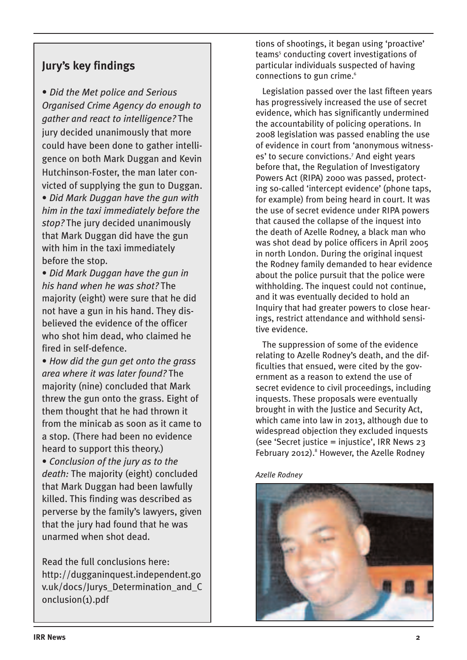## **Jury's key findings**

• *Did the Met police and Serious Organised Crime Agency do enough to gather and react to intelligence?* The jury decided unanimously that more could have been done to gather intelligence on both Mark Duggan and Kevin Hutchinson-Foster, the man later convicted of supplying the gun to Duggan. • *Did Mark Duggan have the gun with*

*him in the taxi immediately before the stop?* The jury decided unanimously that Mark Duggan did have the gun with him in the taxi immediately before the stop.

• *Did Mark Duggan have the gun in his hand when he was shot?* The majority (eight) were sure that he did not have a gun in his hand. They disbelieved the evidence of the officer who shot him dead, who claimed he fired in self-defence.

• *How did the gun get onto the grass area where it was later found?* The majority (nine) concluded that Mark threw the gun onto the grass. Eight of them thought that he had thrown it from the minicab as soon as it came to a stop. (There had been no evidence heard to support this theory.)

• *Conclusion of the jury as to the death:* The majority (eight) concluded that Mark Duggan had been lawfully killed. This finding was described as perverse by the family's lawyers, given that the jury had found that he was unarmed when shot dead.

Read the full conclusions here: http://dugganinquest.independent.go v.uk/docs/Jurys\_Determination\_and\_C onclusion(1).pdf

tions of shootings, it began using 'proactive' teams<sup>5</sup> conducting covert investigations of particular individuals suspected of having connections to gun crime.<sup>6</sup>

Legislation passed over the last fifteen years has progressively increased the use of secret evidence, which has significantly undermined the accountability of policing operations. In 2008 legislation was passed enabling the use of evidence in court from 'anonymous witnesses' to secure convictions.<sup>7</sup> And eight years before that, the Regulation of Investigatory Powers Act (RIPA) 2000 was passed, protecting so-called 'intercept evidence' (phone taps, for example) from being heard in court. It was the use of secret evidence under RIPA powers that caused the collapse of the inquest into the death of Azelle Rodney, a black man who was shot dead by police officers in April 2005 in north London. During the original inquest the Rodney family demanded to hear evidence about the police pursuit that the police were withholding. The inquest could not continue, and it was eventually decided to hold an Inquiry that had greater powers to close hearings, restrict attendance and withhold sensitive evidence.

The suppression of some of the evidence relating to Azelle Rodney's death, and the difficulties that ensued, were cited by the government as a reason to extend the use of secret evidence to civil proceedings, including inquests. These proposals were eventually brought in with the Justice and Security Act, which came into law in 2013, although due to widespread objection they excluded inquests (see 'Secret justice = injustice', IRR News 23 February 2012). $8$  However, the Azelle Rodney

*Azelle Rodney*

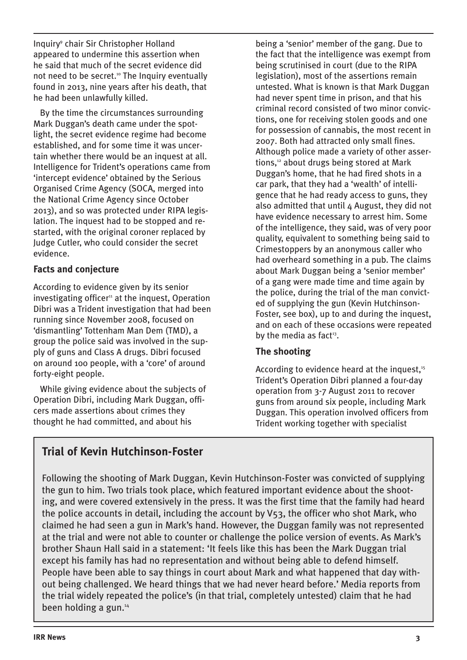Inquiry9 chair Sir Christopher Holland appeared to undermine this assertion when he said that much of the secret evidence did not need to be secret.<sup>10</sup> The Inquiry eventually found in 2013, nine years after his death, that he had been unlawfully killed.

By the time the circumstances surrounding Mark Duggan's death came under the spotlight, the secret evidence regime had become established, and for some time it was uncertain whether there would be an inquest at all. Intelligence for Trident's operations came from 'intercept evidence' obtained by the Serious Organised Crime Agency (SOCA, merged into the National Crime Agency since October 2013), and so was protected under RIPA legislation. The inquest had to be stopped and restarted, with the original coroner replaced by Judge Cutler, who could consider the secret evidence.

## **Facts and conjecture**

According to evidence given by its senior investigating officer<sup>11</sup> at the inquest, Operation Dibri was a Trident investigation that had been running since November 2008, focused on 'dismantling' Tottenham Man Dem (TMD), a group the police said was involved in the supply of guns and Class A drugs. Dibri focused on around 100 people, with a 'core' of around forty-eight people.

While giving evidence about the subjects of Operation Dibri, including Mark Duggan, officers made assertions about crimes they thought he had committed, and about his

being a 'senior' member of the gang. Due to the fact that the intelligence was exempt from being scrutinised in court (due to the RIPA legislation), most of the assertions remain untested. What is known is that Mark Duggan had never spent time in prison, and that his criminal record consisted of two minor convictions, one for receiving stolen goods and one for possession of cannabis, the most recent in 2007. Both had attracted only small fines. Although police made a variety of other assertions,<sup>12</sup> about drugs being stored at Mark Duggan's home, that he had fired shots in a car park, that they had a 'wealth' of intelligence that he had ready access to guns, they also admitted that until 4 August, they did not have evidence necessary to arrest him. Some of the intelligence, they said, was of very poor quality, equivalent to something being said to Crimestoppers by an anonymous caller who had overheard something in a pub. The claims about Mark Duggan being a 'senior member' of a gang were made time and time again by the police, during the trial of the man convicted of supplying the gun (Kevin Hutchinson-Foster, see box), up to and during the inquest, and on each of these occasions were repeated by the media as fact $13$ .

## **The shooting**

According to evidence heard at the inquest,<sup>15</sup> Trident's Operation Dibri planned a four-day operation from 3-7 August 2011 to recover guns from around six people, including Mark Duggan. This operation involved officers from Trident working together with specialist

## **Trial of Kevin Hutchinson-Foster**

Following the shooting of Mark Duggan, Kevin Hutchinson-Foster was convicted of supplying the gun to him. Two trials took place, which featured important evidence about the shooting, and were covered extensively in the press. It was the first time that the family had heard the police accounts in detail, including the account by V53, the officer who shot Mark, who claimed he had seen a gun in Mark's hand. However, the Duggan family was not represented at the trial and were not able to counter or challenge the police version of events. As Mark's brother Shaun Hall said in a statement: 'It feels like this has been the Mark Duggan trial except his family has had no representation and without being able to defend himself. People have been able to say things in court about Mark and what happened that day without being challenged. We heard things that we had never heard before.' Media reports from the trial widely repeated the police's (in that trial, completely untested) claim that he had been holding a gun.14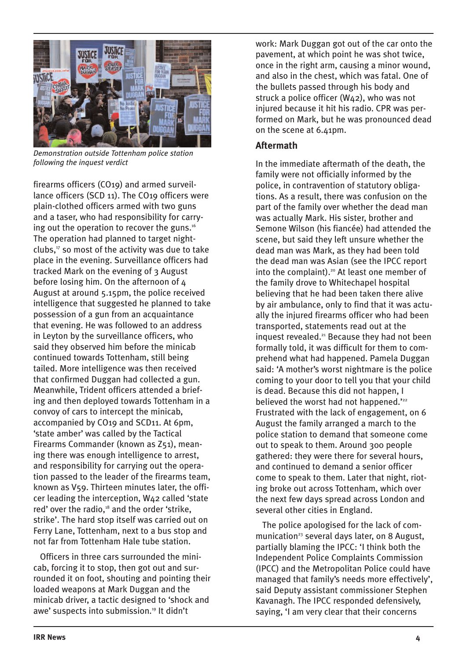

*Demonstration outside Tottenham police station following the inquest verdict*

firearms officers (CO19) and armed surveillance officers (SCD 11). The CO19 officers were plain-clothed officers armed with two guns and a taser, who had responsibility for carrying out the operation to recover the guns.<sup>16</sup> The operation had planned to target nightclubs, $17$  so most of the activity was due to take place in the evening. Surveillance officers had tracked Mark on the evening of 3 August before losing him. On the afternoon of 4 August at around 5.15pm, the police received intelligence that suggested he planned to take possession of a gun from an acquaintance that evening. He was followed to an address in Leyton by the surveillance officers, who said they observed him before the minicab continued towards Tottenham, still being tailed. More intelligence was then received that confirmed Duggan had collected a gun. Meanwhile, Trident officers attended a briefing and then deployed towards Tottenham in a convoy of cars to intercept the minicab, accompanied by CO19 and SCD11. At 6pm, 'state amber' was called by the Tactical Firearms Commander (known as Z51), meaning there was enough intelligence to arrest, and responsibility for carrying out the operation passed to the leader of the firearms team, known as V59. Thirteen minutes later, the officer leading the interception, W42 called 'state red' over the radio,<sup>18</sup> and the order 'strike, strike'. The hard stop itself was carried out on Ferry Lane, Tottenham, next to a bus stop and not far from Tottenham Hale tube station.

Officers in three cars surrounded the minicab, forcing it to stop, then got out and surrounded it on foot, shouting and pointing their loaded weapons at Mark Duggan and the minicab driver, a tactic designed to 'shock and awe' suspects into submission.<sup>19</sup> It didn't

work: Mark Duggan got out of the car onto the pavement, at which point he was shot twice, once in the right arm, causing a minor wound, and also in the chest, which was fatal. One of the bullets passed through his body and struck a police officer (W42), who was not injured because it hit his radio. CPR was performed on Mark, but he was pronounced dead on the scene at 6.41pm.

## **Aftermath**

In the immediate aftermath of the death, the family were not officially informed by the police, in contravention of statutory obligations. As a result, there was confusion on the part of the family over whether the dead man was actually Mark. His sister, brother and Semone Wilson (his fiancée) had attended the scene, but said they left unsure whether the dead man was Mark, as they had been told the dead man was Asian (see the IPCC report into the complaint).<sup>20</sup> At least one member of the family drove to Whitechapel hospital believing that he had been taken there alive by air ambulance, only to find that it was actually the injured firearms officer who had been transported, statements read out at the inquest revealed.<sup>21</sup> Because they had not been formally told, it was difficult for them to comprehend what had happened. Pamela Duggan said: 'A mother's worst nightmare is the police coming to your door to tell you that your child is dead. Because this did not happen, I believed the worst had not happened."22 Frustrated with the lack of engagement, on 6 August the family arranged a march to the police station to demand that someone come out to speak to them. Around 300 people gathered: they were there for several hours, and continued to demand a senior officer come to speak to them. Later that night, rioting broke out across Tottenham, which over the next few days spread across London and several other cities in England.

The police apologised for the lack of communication<sup>23</sup> several days later, on 8 August, partially blaming the IPCC: 'I think both the Independent Police Complaints Commission (IPCC) and the Metropolitan Police could have managed that family's needs more effectively', said Deputy assistant commissioner Stephen Kavanagh. The IPCC responded defensively, saying, 'I am very clear that their concerns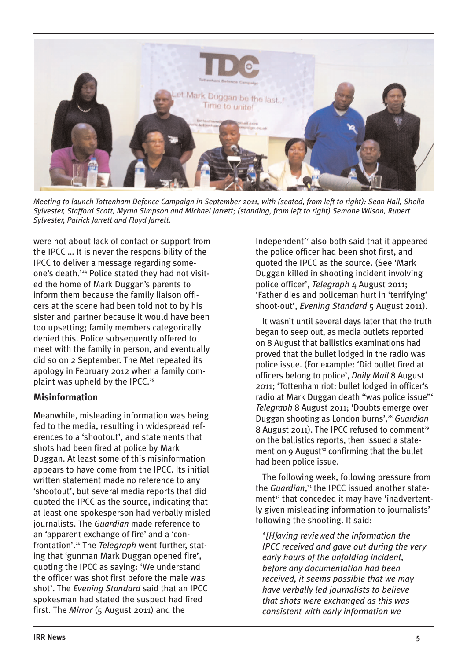

*Meeting to launch Tottenham Defence Campaign in September 2011, with (seated, from left to right): Sean Hall, Sheila Sylvester, Stafford Scott, Myrna Simpson and Michael Jarrett; (standing, from left to right) Semone Wilson, Rupert Sylvester, Patrick Jarrett and Floyd Jarrett.*

were not about lack of contact or support from the IPCC … It is never the responsibility of the IPCC to deliver a message regarding someone's death.'24 Police stated they had not visited the home of Mark Duggan's parents to inform them because the family liaison officers at the scene had been told not to by his sister and partner because it would have been too upsetting; family members categorically denied this. Police subsequently offered to meet with the family in person, and eventually did so on 2 September. The Met repeated its apology in February 2012 when a family complaint was upheld by the IPCC. $25$ 

## **Misinformation**

Meanwhile, misleading information was being fed to the media, resulting in widespread references to a 'shootout', and statements that shots had been fired at police by Mark Duggan. At least some of this misinformation appears to have come from the IPCC. Its initial written statement made no reference to any 'shootout', but several media reports that did quoted the IPCC as the source, indicating that at least one spokesperson had verbally misled journalists. The *Guardian* made reference to an 'apparent exchange of fire' and a 'confrontation'.26 The *Telegraph* went further, stating that 'gunman Mark Duggan opened fire', quoting the IPCC as saying: 'We understand the officer was shot first before the male was shot'. The *Evening Standard* said that an IPCC spokesman had stated the suspect had fired first. The *Mirror* (5 August 2011) and the

Independent $27$  also both said that it appeared the police officer had been shot first, and quoted the IPCC as the source. (See 'Mark Duggan killed in shooting incident involving police officer', *Telegraph* 4 August 2011; 'Father dies and policeman hurt in 'terrifying' shoot-out', *Evening Standard* 5 August 2011).

It wasn't until several days later that the truth began to seep out, as media outlets reported on 8 August that ballistics examinations had proved that the bullet lodged in the radio was police issue. (For example: 'Did bullet fired at officers belong to police', *Daily Mail* 8 August 2011; 'Tottenham riot: bullet lodged in officer's radio at Mark Duggan death "was police issue"' *Telegraph* 8 August 2011; 'Doubts emerge over Duggan shooting as London burns',28 *Guardian* 8 August 2011). The IPCC refused to comment<sup>29</sup> on the ballistics reports, then issued a statement on 9 August<sup>30</sup> confirming that the bullet had been police issue.

The following week, following pressure from the *Guardian*, <sup>31</sup> the IPCC issued another statement<sup>32</sup> that conceded it may have 'inadvertently given misleading information to journalists' following the shooting. It said:

*'[H]aving reviewed the information the IPCC received and gave out during the very early hours of the unfolding incident, before any documentation had been received, it seems possible that we may have verbally led journalists to believe that shots were exchanged as this was consistent with early information we*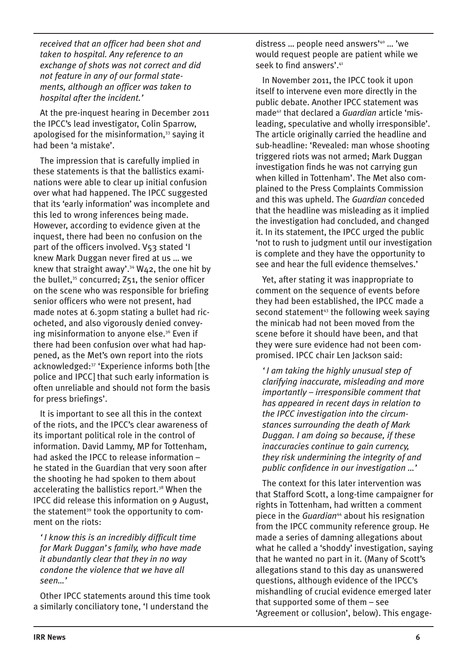*received that an officer had been shot and taken to hospital. Any reference to an exchange of shots was not correct and did not feature in any of our formal statements, although an officer was taken to hospital after the incident.'*

At the pre-inquest hearing in December 2011 the IPCC's lead investigator, Colin Sparrow, apologised for the misinformation. $33$  saying it had been 'a mistake'.

The impression that is carefully implied in these statements is that the ballistics examinations were able to clear up initial confusion over what had happened. The IPCC suggested that its 'early information' was incomplete and this led to wrong inferences being made. However, according to evidence given at the inquest, there had been no confusion on the part of the officers involved. V53 stated 'I knew Mark Duggan never fired at us … we knew that straight away'.<sup>34</sup> W42, the one hit by the bullet,<sup>35</sup> concurred; Z51, the senior officer on the scene who was responsible for briefing senior officers who were not present, had made notes at 6.30pm stating a bullet had ricocheted, and also vigorously denied conveying misinformation to anyone else.<sup>36</sup> Even if there had been confusion over what had happened, as the Met's own report into the riots acknowledged:37 'Experience informs both [the police and IPCC] that such early information is often unreliable and should not form the basis for press briefings'.

It is important to see all this in the context of the riots, and the IPCC's clear awareness of its important political role in the control of information. David Lammy, MP for Tottenham, had asked the IPCC to release information – he stated in the Guardian that very soon after the shooting he had spoken to them about accelerating the ballistics report.<sup>38</sup> When the IPCC did release this information on 9 August, the statement<sup>39</sup> took the opportunity to comment on the riots:

*'I know this is an incredibly difficult time for Mark Duggan's family, who have made it abundantly clear that they in no way condone the violence that we have all seen…'*

Other IPCC statements around this time took a similarly conciliatory tone, 'I understand the

distress … people need answers'40 … 'we would request people are patient while we seek to find answers'.<sup>41</sup>

In November 2011, the IPCC took it upon itself to intervene even more directly in the public debate. Another IPCC statement was made42 that declared a *Guardian* article 'misleading, speculative and wholly irresponsible'. The article originally carried the headline and sub-headline: 'Revealed: man whose shooting triggered riots was not armed; Mark Duggan investigation finds he was not carrying gun when killed in Tottenham'. The Met also complained to the Press Complaints Commission and this was upheld. The *Guardian* conceded that the headline was misleading as it implied the investigation had concluded, and changed it. In its statement, the IPCC urged the public 'not to rush to judgment until our investigation is complete and they have the opportunity to see and hear the full evidence themselves.'

Yet, after stating it was inappropriate to comment on the sequence of events before they had been established, the IPCC made a second statement<sup>43</sup> the following week saying the minicab had not been moved from the scene before it should have been, and that they were sure evidence had not been compromised. IPCC chair Len Jackson said:

*'I am taking the highly unusual step of clarifying inaccurate, misleading and more importantly – irresponsible comment that has appeared in recent days in relation to the IPCC investigation into the circumstances surrounding the death of Mark Duggan. I am doing so because, if these inaccuracies continue to gain currency, they risk undermining the integrity of and public confidence in our investigation …'*

The context for this later intervention was that Stafford Scott, a long-time campaigner for rights in Tottenham, had written a comment piece in the *Guardian*<sup>44</sup> about his resignation from the IPCC community reference group. He made a series of damning allegations about what he called a 'shoddy' investigation, saying that he wanted no part in it. (Many of Scott's allegations stand to this day as unanswered questions, although evidence of the IPCC's mishandling of crucial evidence emerged later that supported some of them – see 'Agreement or collusion', below). This engage-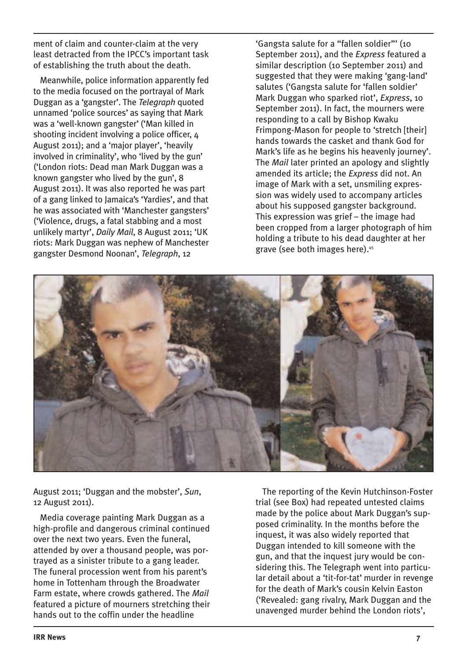ment of claim and counter-claim at the very least detracted from the IPCC's important task of establishing the truth about the death.

Meanwhile, police information apparently fed to the media focused on the portrayal of Mark Duggan as a 'gangster'. The *Telegraph* quoted unnamed 'police sources' as saying that Mark was a 'well-known gangster' ('Man killed in shooting incident involving a police officer, 4 August 2011); and a 'major player', 'heavily involved in criminality', who 'lived by the gun' ('London riots: Dead man Mark Duggan was a known gangster who lived by the gun', 8 August 2011). It was also reported he was part of a gang linked to Jamaica's 'Yardies', and that he was associated with 'Manchester gangsters' ('Violence, drugs, a fatal stabbing and a most unlikely martyr', *Daily Mail*, 8 August 2011; 'UK riots: Mark Duggan was nephew of Manchester gangster Desmond Noonan', *Telegraph*, 12

'Gangsta salute for a "fallen soldier"' (10 September 2011), and the *Express* featured a similar description (10 September 2011) and suggested that they were making 'gang-land' salutes ('Gangsta salute for 'fallen soldier' Mark Duggan who sparked riot', *Express*, 10 September 2011). In fact, the mourners were responding to a call by Bishop Kwaku Frimpong-Mason for people to 'stretch [their] hands towards the casket and thank God for Mark's life as he begins his heavenly journey'. The *Mail* later printed an apology and slightly amended its article; the *Express* did not. An image of Mark with a set, unsmiling expression was widely used to accompany articles about his supposed gangster background. This expression was grief – the image had been cropped from a larger photograph of him holding a tribute to his dead daughter at her grave (see both images here).45



August 2011; 'Duggan and the mobster', *Sun*, 12 August 2011).

Media coverage painting Mark Duggan as a high-profile and dangerous criminal continued over the next two years. Even the funeral, attended by over a thousand people, was portrayed as a sinister tribute to a gang leader. The funeral procession went from his parent's home in Tottenham through the Broadwater Farm estate, where crowds gathered. The *Mail* featured a picture of mourners stretching their hands out to the coffin under the headline

The reporting of the Kevin Hutchinson-Foster trial (see Box) had repeated untested claims made by the police about Mark Duggan's supposed criminality. In the months before the inquest, it was also widely reported that Duggan intended to kill someone with the gun, and that the inquest jury would be considering this. The Telegraph went into particular detail about a 'tit-for-tat' murder in revenge for the death of Mark's cousin Kelvin Easton ('Revealed: gang rivalry, Mark Duggan and the unavenged murder behind the London riots',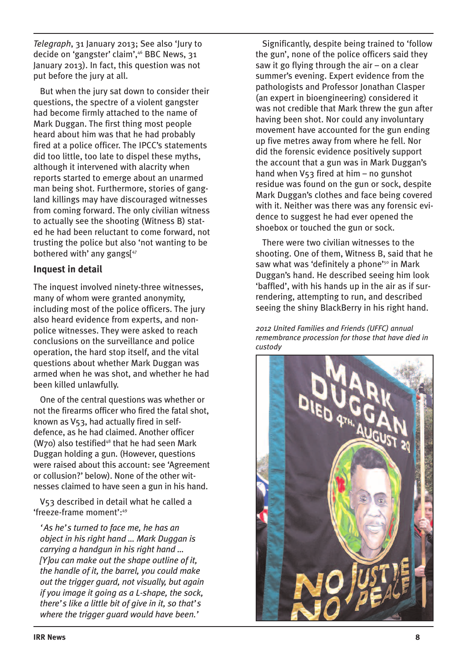*Telegraph*, 31 January 2013; See also 'Jury to decide on 'gangster' claim',46 BBC News, 31 January 2013). In fact, this question was not put before the jury at all.

But when the jury sat down to consider their questions, the spectre of a violent gangster had become firmly attached to the name of Mark Duggan. The first thing most people heard about him was that he had probably fired at a police officer. The IPCC's statements did too little, too late to dispel these myths, although it intervened with alacrity when reports started to emerge about an unarmed man being shot. Furthermore, stories of gangland killings may have discouraged witnesses from coming forward. The only civilian witness to actually see the shooting (Witness B) stated he had been reluctant to come forward, not trusting the police but also 'not wanting to be bothered with' any gangs<sup>[47</sup>]

## **Inquest in detail**

The inquest involved ninety-three witnesses, many of whom were granted anonymity, including most of the police officers. The jury also heard evidence from experts, and nonpolice witnesses. They were asked to reach conclusions on the surveillance and police operation, the hard stop itself, and the vital questions about whether Mark Duggan was armed when he was shot, and whether he had been killed unlawfully.

One of the central questions was whether or not the firearms officer who fired the fatal shot, known as V53, had actually fired in selfdefence, as he had claimed. Another officer (W70) also testified<sup>48</sup> that he had seen Mark Duggan holding a gun. (However, questions were raised about this account: see 'Agreement or collusion?' below). None of the other witnesses claimed to have seen a gun in his hand.

V53 described in detail what he called a 'freeze-frame moment':49

*'As he's turned to face me, he has an object in his right hand … Mark Duggan is carrying a handgun in his right hand … [Y]ou can make out the shape outline of it, the handle of it, the barrel, you could make out the trigger guard, not visually, but again if you image it going as a L-shape, the sock, there's like a little bit of give in it, so that's where the trigger guard would have been.'*

Significantly, despite being trained to 'follow the gun', none of the police officers said they saw it go flying through the air – on a clear summer's evening. Expert evidence from the pathologists and Professor Jonathan Clasper (an expert in bioengineering) considered it was not credible that Mark threw the gun after having been shot. Nor could any involuntary movement have accounted for the gun ending up five metres away from where he fell. Nor did the forensic evidence positively support the account that a gun was in Mark Duggan's hand when V53 fired at him – no gunshot residue was found on the gun or sock, despite Mark Duggan's clothes and face being covered with it. Neither was there was any forensic evidence to suggest he had ever opened the shoebox or touched the gun or sock.

There were two civilian witnesses to the shooting. One of them, Witness B, said that he saw what was 'definitely a phone'<sup>50</sup> in Mark Duggan's hand. He described seeing him look 'baffled', with his hands up in the air as if surrendering, attempting to run, and described seeing the shiny BlackBerry in his right hand.

*2012 United Families and Friends (UFFC) annual remembrance procession for those that have died in custody*

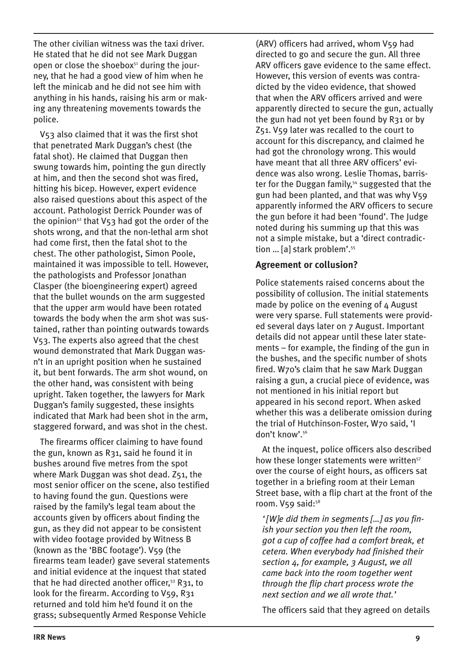The other civilian witness was the taxi driver. He stated that he did not see Mark Duggan open or close the shoebox<sup>51</sup> during the journey, that he had a good view of him when he left the minicab and he did not see him with anything in his hands, raising his arm or making any threatening movements towards the police.

V53 also claimed that it was the first shot that penetrated Mark Duggan's chest (the fatal shot). He claimed that Duggan then swung towards him, pointing the gun directly at him, and then the second shot was fired, hitting his bicep. However, expert evidence also raised questions about this aspect of the account. Pathologist Derrick Pounder was of the opinion<sup>52</sup> that  $V$ 53 had got the order of the shots wrong, and that the non-lethal arm shot had come first, then the fatal shot to the chest. The other pathologist, Simon Poole, maintained it was impossible to tell. However, the pathologists and Professor Jonathan Clasper (the bioengineering expert) agreed that the bullet wounds on the arm suggested that the upper arm would have been rotated towards the body when the arm shot was sustained, rather than pointing outwards towards V53. The experts also agreed that the chest wound demonstrated that Mark Duggan wasn't in an upright position when he sustained it, but bent forwards. The arm shot wound, on the other hand, was consistent with being upright. Taken together, the lawyers for Mark Duggan's family suggested, these insights indicated that Mark had been shot in the arm, staggered forward, and was shot in the chest.

The firearms officer claiming to have found the gun, known as R31, said he found it in bushes around five metres from the spot where Mark Duggan was shot dead. Z51, the most senior officer on the scene, also testified to having found the gun. Questions were raised by the family's legal team about the accounts given by officers about finding the gun, as they did not appear to be consistent with video footage provided by Witness B (known as the 'BBC footage'). V59 (the firearms team leader) gave several statements and initial evidence at the inquest that stated that he had directed another officer,<sup>53</sup> R31, to look for the firearm. According to V59, R31 returned and told him he'd found it on the grass; subsequently Armed Response Vehicle

(ARV) officers had arrived, whom V59 had directed to go and secure the gun. All three ARV officers gave evidence to the same effect. However, this version of events was contradicted by the video evidence, that showed that when the ARV officers arrived and were apparently directed to secure the gun, actually the gun had not yet been found by R31 or by Z51. V59 later was recalled to the court to account for this discrepancy, and claimed he had got the chronology wrong. This would have meant that all three ARV officers' evidence was also wrong. Leslie Thomas, barrister for the Duggan family,<sup>54</sup> suggested that the gun had been planted, and that was why V59 apparently informed the ARV officers to secure the gun before it had been 'found'. The Judge noted during his summing up that this was not a simple mistake, but a 'direct contradiction ... [a] stark problem'.<sup>55</sup>

#### **Agreement or collusion?**

Police statements raised concerns about the possibility of collusion. The initial statements made by police on the evening of 4 August were very sparse. Full statements were provided several days later on 7 August. Important details did not appear until these later statements – for example, the finding of the gun in the bushes, and the specific number of shots fired. W70's claim that he saw Mark Duggan raising a gun, a crucial piece of evidence, was not mentioned in his initial report but appeared in his second report. When asked whether this was a deliberate omission during the trial of Hutchinson-Foster, W70 said, 'I don't know'.56

At the inquest, police officers also described how these longer statements were written<sup>57</sup> over the course of eight hours, as officers sat together in a briefing room at their Leman Street base, with a flip chart at the front of the room. V59 said:<sup>58</sup>

*'[W]e did them in segments […] as you finish your section you then left the room, got a cup of coffee had a comfort break, et cetera. When everybody had finished their section 4, for example, 3 August, we all came back into the room together went through the flip chart process wrote the next section and we all wrote that.'*

The officers said that they agreed on details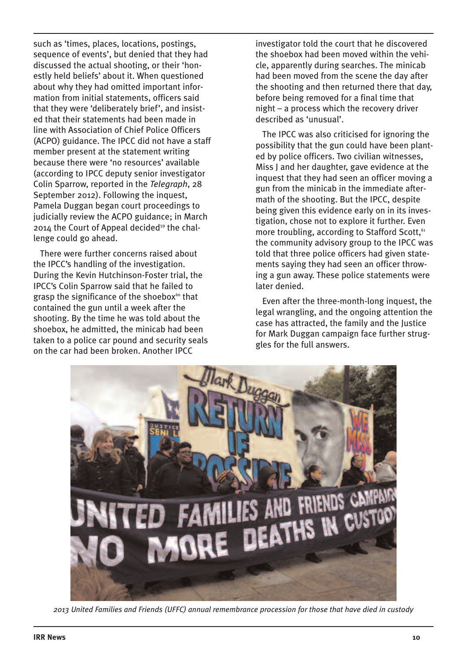such as 'times, places, locations, postings, sequence of events', but denied that they had discussed the actual shooting, or their 'honestly held beliefs' about it. When questioned about why they had omitted important information from initial statements, officers said that they were 'deliberately brief', and insisted that their statements had been made in line with Association of Chief Police Officers (ACPO) guidance. The IPCC did not have a staff member present at the statement writing because there were 'no resources' available (according to IPCC deputy senior investigator Colin Sparrow, reported in the *Telegraph*, 28 September 2012). Following the inquest, Pamela Duggan began court proceedings to judicially review the ACPO guidance; in March 2014 the Court of Appeal decided<sup>59</sup> the challenge could go ahead.

There were further concerns raised about the IPCC's handling of the investigation. During the Kevin Hutchinson-Foster trial, the IPCC's Colin Sparrow said that he failed to grasp the significance of the shoebox<sup>60</sup> that contained the gun until a week after the shooting. By the time he was told about the shoebox, he admitted, the minicab had been taken to a police car pound and security seals on the car had been broken. Another IPCC

investigator told the court that he discovered the shoebox had been moved within the vehicle, apparently during searches. The minicab had been moved from the scene the day after the shooting and then returned there that day, before being removed for a final time that night – a process which the recovery driver described as 'unusual'.

The IPCC was also criticised for ignoring the possibility that the gun could have been planted by police officers. Two civilian witnesses, Miss J and her daughter, gave evidence at the inquest that they had seen an officer moving a gun from the minicab in the immediate aftermath of the shooting. But the IPCC, despite being given this evidence early on in its investigation, chose not to explore it further. Even more troubling, according to Stafford Scott,<sup>61</sup> the community advisory group to the IPCC was told that three police officers had given statements saying they had seen an officer throwing a gun away. These police statements were later denied.

Even after the three-month-long inquest, the legal wrangling, and the ongoing attention the case has attracted, the family and the Justice for Mark Duggan campaign face further struggles for the full answers.



*2013 United Families and Friends (UFFC) annual remembrance procession for those that have died in custody*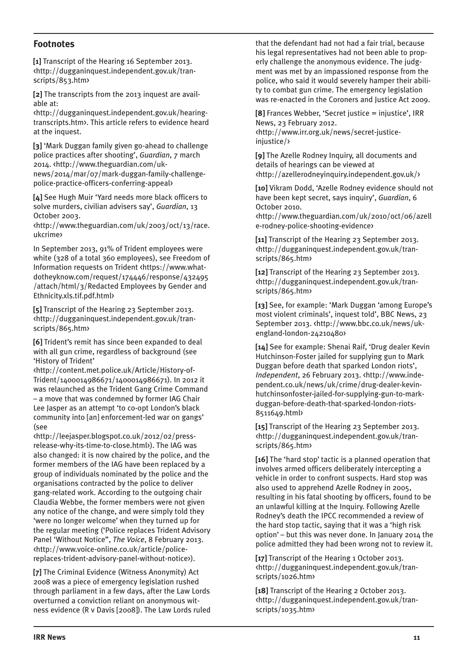## **Footnotes**

**[1]** Transcript of the Hearing 16 September 2013. <http://dugganinquest.independent.gov.uk/transcripts/853.htm>

**[2]** The transcripts from the 2013 inquest are available at:

<http://dugganinquest.independent.gov.uk/hearingtranscripts.htm>. This article refers to evidence heard at the inquest.

**[3]** 'Mark Duggan family given go-ahead to challenge police practices after shooting', *Guardian*, 7 march 2014. <http://www.theguardian.com/uknews/2014/mar/07/mark-duggan-family-challengepolice-practice-officers-conferring-appeal>

**[4]** See Hugh Muir 'Yard needs more black officers to solve murders, civilian advisers say', *Guardian*, 13 October 2003.

<http://www.theguardian.com/uk/2003/oct/13/race. ukcrime>

In September 2013, 91% of Trident employees were white (328 of a total 360 employees), see Freedom of Information requests on Trident <https://www.whatdotheyknow.com/request/174446/response/432495 /attach/html/3/Redacted Employees by Gender and Ethnicity.xls.tif.pdf.html>

**[5]** Transcript of the Hearing 23 September 2013. <http://dugganinquest.independent.gov.uk/transcripts/865.htm>

**[6]** Trident's remit has since been expanded to deal with all gun crime, regardless of background (see 'History of Trident'

<http://content.met.police.uk/Article/History-of-Trident/1400014986671/1400014986671). In 2012 it was relaunched as the Trident Gang Crime Command – a move that was condemned by former IAG Chair Lee Jasper as an attempt 'to co-opt London's black community into [an] enforcement-led war on gangs' (see

<http://leejasper.blogspot.co.uk/2012/02/pressrelease-why-its-time-to-close.html>). The IAG was also changed: it is now chaired by the police, and the former members of the IAG have been replaced by a group of individuals nominated by the police and the organisations contracted by the police to deliver gang-related work. According to the outgoing chair Claudia Webbe, the former members were not given any notice of the change, and were simply told they 'were no longer welcome' when they turned up for the regular meeting ('Police replaces Trident Advisory Panel 'Without Notice'', *The Voice*, 8 February 2013. <http://www.voice-online.co.uk/article/policereplaces-trident-advisory-panel-without-notice>).

**[7]** The Criminal Evidence (Witness Anonymity) Act 2008 was a piece of emergency legislation rushed through parliament in a few days, after the Law Lords overturned a conviction reliant on anonymous witness evidence (R v Davis [2008]). The Law Lords ruled that the defendant had not had a fair trial, because his legal representatives had not been able to properly challenge the anonymous evidence. The judgment was met by an impassioned response from the police, who said it would severely hamper their ability to combat gun crime. The emergency legislation was re-enacted in the Coroners and Justice Act 2009.

**[8]** Frances Webber, 'Secret justice = injustice', IRR News, 23 February 2012. <http://www.irr.org.uk/news/secret-justiceinjustice/>

**[9]** The Azelle Rodney Inquiry, all documents and details of hearings can be viewed at <http://azellerodneyinquiry.independent.gov.uk/>

**[10]** Vikram Dodd, 'Azelle Rodney evidence should not have been kept secret, says inquiry', *Guardian*, 6 October 2010.

<http://www.theguardian.com/uk/2010/oct/06/azell e-rodney-police-shooting-evidence>

**[11]** Transcript of the Hearing 23 September 2013. <http://dugganinquest.independent.gov.uk/transcripts/865.htm>

**[12]** Transcript of the Hearing 23 September 2013. <http://dugganinquest.independent.gov.uk/transcripts/865.htm>

[13] See, for example: 'Mark Duggan 'among Europe's most violent criminals', inquest told', BBC News, 23 September 2013. <http://www.bbc.co.uk/news/ukengland-london-24210480>

**[14]** See for example: Shenai Raif, 'Drug dealer Kevin Hutchinson-Foster jailed for supplying gun to Mark Duggan before death that sparked London riots', *Independent*, 26 February 2013. <http://www.independent.co.uk/news/uk/crime/drug-dealer-kevinhutchinsonfoster-jailed-for-supplying-gun-to-markduggan-before-death-that-sparked-london-riots-8511649.html>

**[15]** Transcript of the Hearing 23 September 2013. <http://dugganinquest.independent.gov.uk/transcripts/865.htm>

**[16]** The 'hard stop' tactic is a planned operation that involves armed officers deliberately intercepting a vehicle in order to confront suspects. Hard stop was also used to apprehend Azelle Rodney in 2005, resulting in his fatal shooting by officers, found to be an unlawful killing at the Inquiry. Following Azelle Rodney's death the IPCC recommended a review of the hard stop tactic, saying that it was a 'high risk option' – but this was never done. In January 2014 the police admitted they had been wrong not to review it.

[17] Transcript of the Hearing 1 October 2013. <http://dugganinquest.independent.gov.uk/transcripts/1026.htm>

**[18]** Transcript of the Hearing 2 October 2013. <http://dugganinquest.independent.gov.uk/transcripts/1035.htm>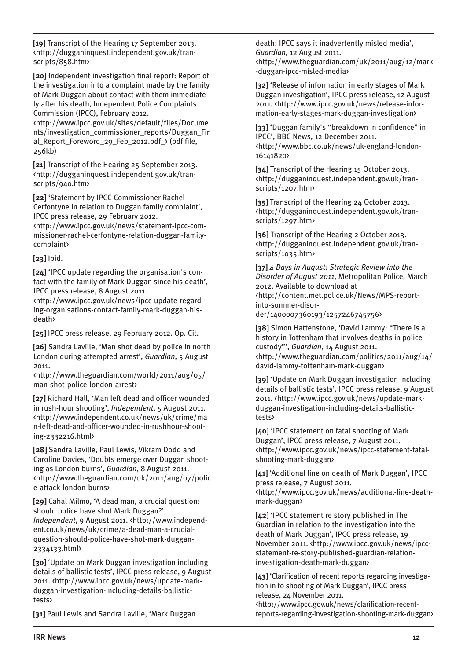**[19]** Transcript of the Hearing 17 September 2013. <http://dugganinquest.independent.gov.uk/transcripts/858.htm>

**[20]** Independent investigation final report: Report of the investigation into a complaint made by the family of Mark Duggan about contact with them immediately after his death, Independent Police Complaints Commission (IPCC), February 2012.

<http://www.ipcc.gov.uk/sites/default/files/Docume nts/investigation\_commissioner\_reports/Duggan\_Fin al Report Foreword 29 Feb 2012.pdf  $\rightarrow$  (pdf file, 256kb)

**[21]** Transcript of the Hearing 25 September 2013. <http://dugganinquest.independent.gov.uk/transcripts/940.htm>

**[22]** 'Statement by IPCC Commissioner Rachel Cerfontyne in relation to Duggan family complaint', IPCC press release, 29 February 2012.

<http://www.ipcc.gov.uk/news/statement-ipcc-commissioner-rachel-cerfontyne-relation-duggan-familycomplaint>

**[23]** Ibid.

**[24]** 'IPCC update regarding the organisation's contact with the family of Mark Duggan since his death', IPCC press release, 8 August 2011.

<http://www.ipcc.gov.uk/news/ipcc-update-regarding-organisations-contact-family-mark-duggan-hisdeath>

**[25]** IPCC press release, 29 February 2012. Op. Cit.

**[26]** Sandra Laville, 'Man shot dead by police in north London during attempted arrest', *Guardian*, 5 August 2011.

<http://www.theguardian.com/world/2011/aug/05/ man-shot-police-london-arrest>

**[27]** Richard Hall, 'Man left dead and officer wounded in rush-hour shooting', *Independent*, 5 August 2011. <http://www.independent.co.uk/news/uk/crime/ma n-left-dead-and-officer-wounded-in-rushhour-shooting-2332216.html>

**[28]** Sandra Laville, Paul Lewis, Vikram Dodd and Caroline Davies, 'Doubts emerge over Duggan shooting as London burns', *Guardian*, 8 August 2011. <http://www.theguardian.com/uk/2011/aug/07/polic e-attack-london-burns>

**[29]** Cahal Milmo, 'A dead man, a crucial question: should police have shot Mark Duggan?', *Independent*, 9 August 2011. <http://www.independent.co.uk/news/uk/crime/a-dead-man-a-crucialquestion-should-police-have-shot-mark-duggan-2334133.html>

**[30]** 'Update on Mark Duggan investigation including details of ballistic tests', IPCC press release, 9 August 2011. <http://www.ipcc.gov.uk/news/update-markduggan-investigation-including-details-ballistictests>

**[31]** Paul Lewis and Sandra Laville, 'Mark Duggan

death: IPCC says it inadvertently misled media', *Guardian*, 12 August 2011. <http://www.theguardian.com/uk/2011/aug/12/mark -duggan-ipcc-misled-media>

**[32]** 'Release of information in early stages of Mark Duggan investigation', IPCC press release, 12 August 2011. <http://www.ipcc.gov.uk/news/release-information-early-stages-mark-duggan-investigation>

**[33]** 'Duggan family's "breakdown in confidence" in IPCC', BBC News, 12 December 2011. <http://www.bbc.co.uk/news/uk-england-london-16141820>

**[34]** Transcript of the Hearing 15 October 2013. <http://dugganinquest.independent.gov.uk/transcripts/1207.htm>

**[35]** Transcript of the Hearing 24 October 2013. <http://dugganinquest.independent.gov.uk/transcripts/1297.htm>

**[36]** Transcript of the Hearing 2 October 2013. <http://dugganinquest.independent.gov.uk/transcripts/1035.htm>

**[37]** *4 Days in August: Strategic Review into the Disorder of August 2011*, Metropolitan Police, March 2012. Available to download at <http://content.met.police.uk/News/MPS-reportinto-summer-disorder/1400007360193/1257246745756>

**[38]** Simon Hattenstone, 'David Lammy: "There is a history in Tottenham that involves deaths in police custody"', *Guardian*, 14 August 2011. <http://www.theguardian.com/politics/2011/aug/14/ david-lammy-tottenham-mark-duggan>

**[39]** 'Update on Mark Duggan investigation including details of ballistic tests', IPCC press release, 9 August 2011. <http://www.ipcc.gov.uk/news/update-markduggan-investigation-including-details-ballistictests>

**[40]** 'IPCC statement on fatal shooting of Mark Duggan', IPCC press release, 7 August 2011. <http://www.ipcc.gov.uk/news/ipcc-statement-fatalshooting-mark-duggan>

**[41]** 'Additional line on death of Mark Duggan', IPCC press release, 7 August 2011. <http://www.ipcc.gov.uk/news/additional-line-deathmark-duggan>

**[42]** 'IPCC statement re story published in The Guardian in relation to the investigation into the death of Mark Duggan', IPCC press release, 19 November 2011. <http://www.ipcc.gov.uk/news/ipccstatement-re-story-published-guardian-relationinvestigation-death-mark-duggan>

**[43]** 'Clarification of recent reports regarding investigation in to shooting of Mark Duggan', IPCC press release, 24 November 2011.

<http://www.ipcc.gov.uk/news/clarification-recentreports-regarding-investigation-shooting-mark-duggan>